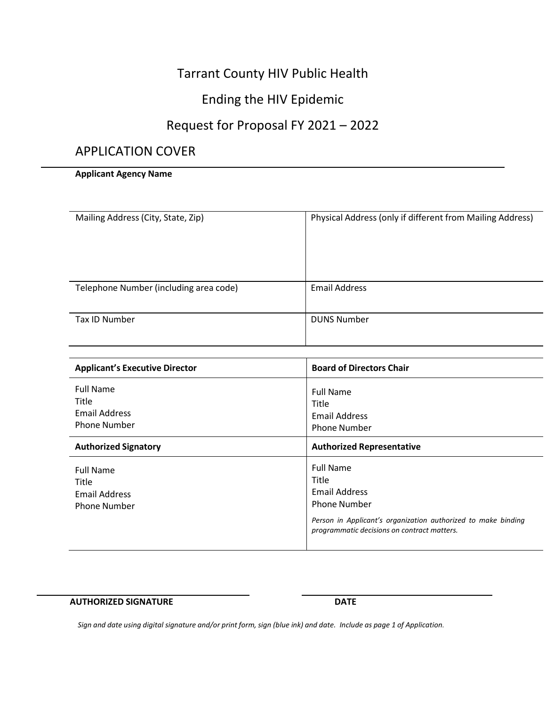# Tarrant County HIV Public Health

# Ending the HIV Epidemic

# Request for Proposal FY 2021 – 2022

# APPLICATION COVER

# **Applicant Agency Name**

| Mailing Address (City, State, Zip)     | Physical Address (only if different from Mailing Address) |
|----------------------------------------|-----------------------------------------------------------|
| Telephone Number (including area code) | <b>Email Address</b>                                      |
| Tax ID Number                          | <b>DUNS Number</b>                                        |

| <b>Applicant's Executive Director</b>                                    | <b>Board of Directors Chair</b>                                                                                                                                                          |
|--------------------------------------------------------------------------|------------------------------------------------------------------------------------------------------------------------------------------------------------------------------------------|
| <b>Full Name</b><br>Title<br>Email Address<br><b>Phone Number</b>        | <b>Full Name</b><br>Title<br>Email Address<br><b>Phone Number</b>                                                                                                                        |
| <b>Authorized Signatory</b>                                              | <b>Authorized Representative</b>                                                                                                                                                         |
| <b>Full Name</b><br>Title<br><b>Email Address</b><br><b>Phone Number</b> | <b>Full Name</b><br>Title<br><b>Email Address</b><br><b>Phone Number</b><br>Person in Applicant's organization authorized to make binding<br>programmatic decisions on contract matters. |

#### **AUTHORIZED SIGNATURE DATE**

Sign and date using digital signature and/or print form, sign (blue ink) and date. Include as page 1 of Application.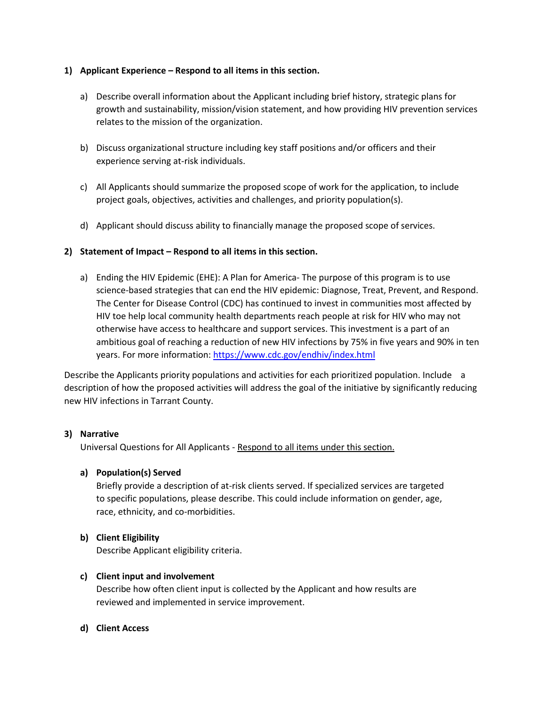# **1) Applicant Experience – Respond to all items in this section.**

- a) Describe overall information about the Applicant including brief history, strategic plans for growth and sustainability, mission/vision statement, and how providing HIV prevention services relates to the mission of the organization.
- b) Discuss organizational structure including key staff positions and/or officers and their experience serving at-risk individuals.
- c) All Applicants should summarize the proposed scope of work for the application, to include project goals, objectives, activities and challenges, and priority population(s).
- d) Applicant should discuss ability to financially manage the proposed scope of services.

# **2) Statement of Impact – Respond to all items in this section.**

a) Ending the HIV Epidemic (EHE): A Plan for America- The purpose of this program is to use science-based strategies that can end the HIV epidemic: Diagnose, Treat, Prevent, and Respond. The Center for Disease Control (CDC) has continued to invest in communities most affected by HIV toe help local community health departments reach people at risk for HIV who may not otherwise have access to healthcare and support services. This investment is a part of an ambitious goal of reaching a reduction of new HIV infections by 75% in five years and 90% in ten years. For more information: <https://www.cdc.gov/endhiv/index.html>

Describe the Applicants priority populations and activities for each prioritized population. Include a description of how the proposed activities will address the goal of the initiative by significantly reducing new HIV infections in Tarrant County.

# **3) Narrative**

Universal Questions for All Applicants - Respond to all items under this section.

# **a) Population(s) Served**

Briefly provide a description of at-risk clients served. If specialized services are targeted to specific populations, please describe. This could include information on gender, age, race, ethnicity, and co-morbidities.

# **b) Client Eligibility**

Describe Applicant eligibility criteria.

# **c) Client input and involvement**

Describe how often client input is collected by the Applicant and how results are reviewed and implemented in service improvement.

# **d) Client Access**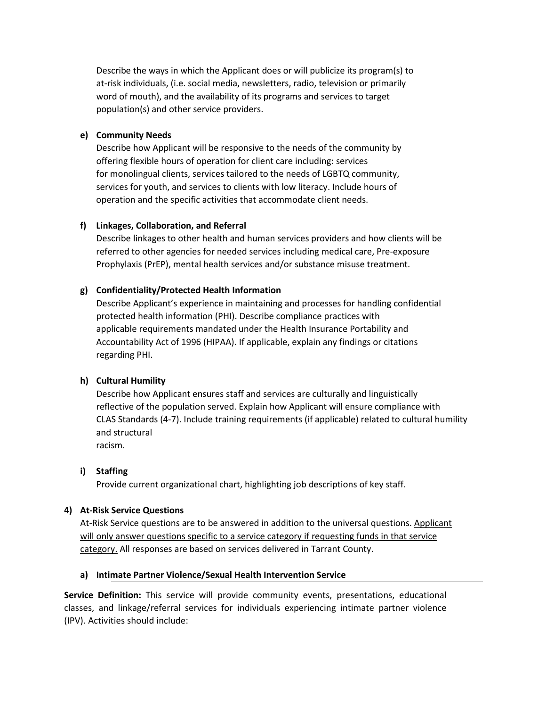Describe the ways in which the Applicant does or will publicize its program(s) to at-risk individuals, (i.e. social media, newsletters, radio, television or primarily word of mouth), and the availability of its programs and services to target population(s) and other service providers.

#### **e) Community Needs**

Describe how Applicant will be responsive to the needs of the community by offering flexible hours of operation for client care including: services for monolingual clients, services tailored to the needs of LGBTQ community, services for youth, and services to clients with low literacy. Include hours of operation and the specific activities that accommodate client needs.

#### **f) Linkages, Collaboration, and Referral**

Describe linkages to other health and human services providers and how clients will be referred to other agencies for needed services including medical care, Pre-exposure Prophylaxis (PrEP), mental health services and/or substance misuse treatment.

#### **g) Confidentiality/Protected Health Information**

Describe Applicant's experience in maintaining and processes for handling confidential protected health information (PHI). Describe compliance practices with applicable requirements mandated under the Health Insurance Portability and Accountability Act of 1996 (HIPAA). If applicable, explain any findings or citations regarding PHI.

# **h) Cultural Humility**

Describe how Applicant ensures staff and services are culturally and linguistically reflective of the population served. Explain how Applicant will ensure compliance with CLAS Standards (4-7). Include training requirements (if applicable) related to cultural humility and structural racism.

#### **i) Staffing**

Provide current organizational chart, highlighting job descriptions of key staff.

#### **4) At-Risk Service Questions**

At-Risk Service questions are to be answered in addition to the universal questions. Applicant will only answer questions specific to a service category if requesting funds in that service category. All responses are based on services delivered in Tarrant County.

#### **a) Intimate Partner Violence/Sexual Health Intervention Service**

**Service Definition:** This service will provide community events, presentations, educational classes, and linkage/referral services for individuals experiencing intimate partner violence (IPV). Activities should include: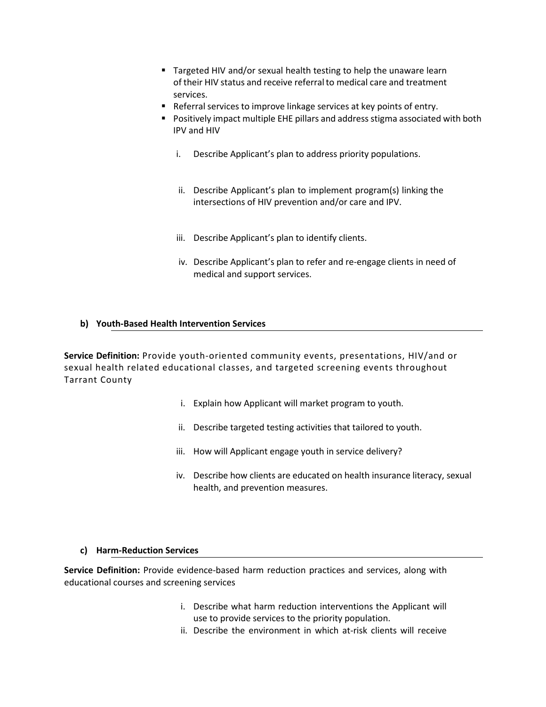- Targeted HIV and/or sexual health testing to help the unaware learn of their HIV status and receive referral to medical care and treatment services.
- Referral services to improve linkage services at key points of entry.
- Positively impact multiple EHE pillars and address stigma associated with both IPV and HIV
	- i. Describe Applicant's plan to address priority populations.
	- ii. Describe Applicant's plan to implement program(s) linking the intersections of HIV prevention and/or care and IPV.
	- iii. Describe Applicant's plan to identify clients.
	- iv. Describe Applicant's plan to refer and re-engage clients in need of medical and support services.

# **b) Youth-Based Health Intervention Services**

**Service Definition:** Provide youth-oriented community events, presentations, HIV/and or sexual health related educational classes, and targeted screening events throughout Tarrant County

- i. Explain how Applicant will market program to youth.
- ii. Describe targeted testing activities that tailored to youth.
- iii. How will Applicant engage youth in service delivery?
- iv. Describe how clients are educated on health insurance literacy, sexual health, and prevention measures.

# **c) Harm-Reduction Services**

**Service Definition:** Provide evidence-based harm reduction practices and services, along with educational courses and screening services

- i. Describe what harm reduction interventions the Applicant will use to provide services to the priority population.
- ii. Describe the environment in which at-risk clients will receive